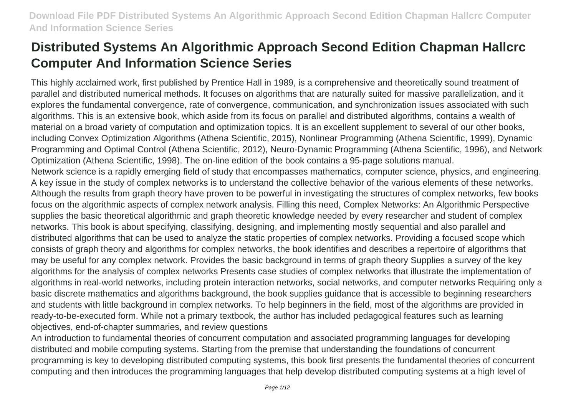This highly acclaimed work, first published by Prentice Hall in 1989, is a comprehensive and theoretically sound treatment of parallel and distributed numerical methods. It focuses on algorithms that are naturally suited for massive parallelization, and it explores the fundamental convergence, rate of convergence, communication, and synchronization issues associated with such algorithms. This is an extensive book, which aside from its focus on parallel and distributed algorithms, contains a wealth of material on a broad variety of computation and optimization topics. It is an excellent supplement to several of our other books, including Convex Optimization Algorithms (Athena Scientific, 2015), Nonlinear Programming (Athena Scientific, 1999), Dynamic Programming and Optimal Control (Athena Scientific, 2012), Neuro-Dynamic Programming (Athena Scientific, 1996), and Network Optimization (Athena Scientific, 1998). The on-line edition of the book contains a 95-page solutions manual. Network science is a rapidly emerging field of study that encompasses mathematics, computer science, physics, and engineering. A key issue in the study of complex networks is to understand the collective behavior of the various elements of these networks. Although the results from graph theory have proven to be powerful in investigating the structures of complex networks, few books focus on the algorithmic aspects of complex network analysis. Filling this need, Complex Networks: An Algorithmic Perspective supplies the basic theoretical algorithmic and graph theoretic knowledge needed by every researcher and student of complex networks. This book is about specifying, classifying, designing, and implementing mostly sequential and also parallel and distributed algorithms that can be used to analyze the static properties of complex networks. Providing a focused scope which consists of graph theory and algorithms for complex networks, the book identifies and describes a repertoire of algorithms that may be useful for any complex network. Provides the basic background in terms of graph theory Supplies a survey of the key algorithms for the analysis of complex networks Presents case studies of complex networks that illustrate the implementation of algorithms in real-world networks, including protein interaction networks, social networks, and computer networks Requiring only a basic discrete mathematics and algorithms background, the book supplies guidance that is accessible to beginning researchers and students with little background in complex networks. To help beginners in the field, most of the algorithms are provided in ready-to-be-executed form. While not a primary textbook, the author has included pedagogical features such as learning objectives, end-of-chapter summaries, and review questions

An introduction to fundamental theories of concurrent computation and associated programming languages for developing distributed and mobile computing systems. Starting from the premise that understanding the foundations of concurrent programming is key to developing distributed computing systems, this book first presents the fundamental theories of concurrent computing and then introduces the programming languages that help develop distributed computing systems at a high level of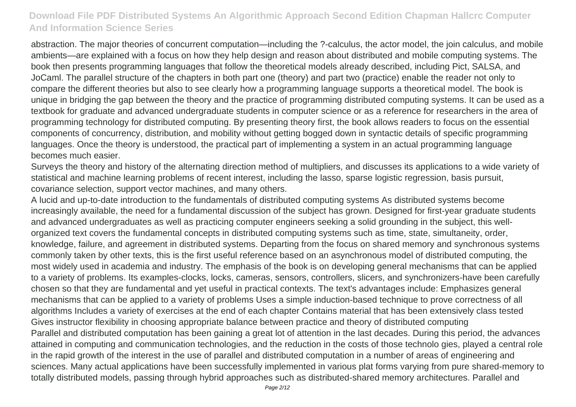abstraction. The major theories of concurrent computation—including the ?-calculus, the actor model, the join calculus, and mobile ambients—are explained with a focus on how they help design and reason about distributed and mobile computing systems. The book then presents programming languages that follow the theoretical models already described, including Pict, SALSA, and JoCaml. The parallel structure of the chapters in both part one (theory) and part two (practice) enable the reader not only to compare the different theories but also to see clearly how a programming language supports a theoretical model. The book is unique in bridging the gap between the theory and the practice of programming distributed computing systems. It can be used as a textbook for graduate and advanced undergraduate students in computer science or as a reference for researchers in the area of programming technology for distributed computing. By presenting theory first, the book allows readers to focus on the essential components of concurrency, distribution, and mobility without getting bogged down in syntactic details of specific programming languages. Once the theory is understood, the practical part of implementing a system in an actual programming language becomes much easier.

Surveys the theory and history of the alternating direction method of multipliers, and discusses its applications to a wide variety of statistical and machine learning problems of recent interest, including the lasso, sparse logistic regression, basis pursuit, covariance selection, support vector machines, and many others.

A lucid and up-to-date introduction to the fundamentals of distributed computing systems As distributed systems become increasingly available, the need for a fundamental discussion of the subject has grown. Designed for first-year graduate students and advanced undergraduates as well as practicing computer engineers seeking a solid grounding in the subject, this wellorganized text covers the fundamental concepts in distributed computing systems such as time, state, simultaneity, order, knowledge, failure, and agreement in distributed systems. Departing from the focus on shared memory and synchronous systems commonly taken by other texts, this is the first useful reference based on an asynchronous model of distributed computing, the most widely used in academia and industry. The emphasis of the book is on developing general mechanisms that can be applied to a variety of problems. Its examples-clocks, locks, cameras, sensors, controllers, slicers, and synchronizers-have been carefully chosen so that they are fundamental and yet useful in practical contexts. The text's advantages include: Emphasizes general mechanisms that can be applied to a variety of problems Uses a simple induction-based technique to prove correctness of all algorithms Includes a variety of exercises at the end of each chapter Contains material that has been extensively class tested Gives instructor flexibility in choosing appropriate balance between practice and theory of distributed computing Parallel and distributed computation has been gaining a great lot of attention in the last decades. During this period, the advances attained in computing and communication technologies, and the reduction in the costs of those technolo gies, played a central role in the rapid growth of the interest in the use of parallel and distributed computation in a number of areas of engineering and sciences. Many actual applications have been successfully implemented in various plat forms varying from pure shared-memory to totally distributed models, passing through hybrid approaches such as distributed-shared memory architectures. Parallel and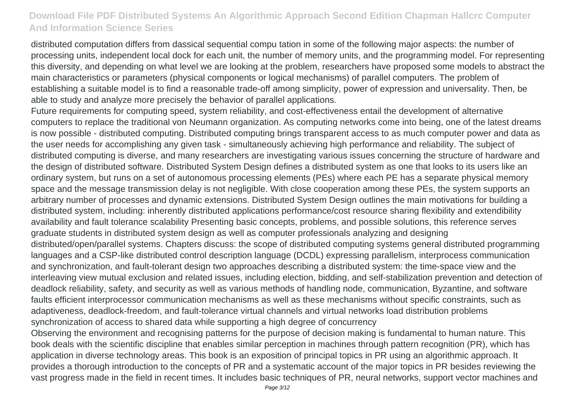distributed computation differs from dassical sequential compu tation in some of the following major aspects: the number of processing units, independent local dock for each unit, the number of memory units, and the programming model. For representing this diversity, and depending on what level we are looking at the problem, researchers have proposed some models to abstract the main characteristics or parameters (physical components or logical mechanisms) of parallel computers. The problem of establishing a suitable model is to find a reasonable trade-off among simplicity, power of expression and universality. Then, be able to study and analyze more precisely the behavior of parallel applications.

Future requirements for computing speed, system reliability, and cost-effectiveness entail the development of alternative computers to replace the traditional von Neumann organization. As computing networks come into being, one of the latest dreams is now possible - distributed computing. Distributed computing brings transparent access to as much computer power and data as the user needs for accomplishing any given task - simultaneously achieving high performance and reliability. The subject of distributed computing is diverse, and many researchers are investigating various issues concerning the structure of hardware and the design of distributed software. Distributed System Design defines a distributed system as one that looks to its users like an ordinary system, but runs on a set of autonomous processing elements (PEs) where each PE has a separate physical memory space and the message transmission delay is not negligible. With close cooperation among these PEs, the system supports an arbitrary number of processes and dynamic extensions. Distributed System Design outlines the main motivations for building a distributed system, including: inherently distributed applications performance/cost resource sharing flexibility and extendibility availability and fault tolerance scalability Presenting basic concepts, problems, and possible solutions, this reference serves graduate students in distributed system design as well as computer professionals analyzing and designing distributed/open/parallel systems. Chapters discuss: the scope of distributed computing systems general distributed programming languages and a CSP-like distributed control description language (DCDL) expressing parallelism, interprocess communication and synchronization, and fault-tolerant design two approaches describing a distributed system: the time-space view and the interleaving view mutual exclusion and related issues, including election, bidding, and self-stabilization prevention and detection of deadlock reliability, safety, and security as well as various methods of handling node, communication, Byzantine, and software faults efficient interprocessor communication mechanisms as well as these mechanisms without specific constraints, such as adaptiveness, deadlock-freedom, and fault-tolerance virtual channels and virtual networks load distribution problems synchronization of access to shared data while supporting a high degree of concurrency

Observing the environment and recognising patterns for the purpose of decision making is fundamental to human nature. This book deals with the scientific discipline that enables similar perception in machines through pattern recognition (PR), which has application in diverse technology areas. This book is an exposition of principal topics in PR using an algorithmic approach. It provides a thorough introduction to the concepts of PR and a systematic account of the major topics in PR besides reviewing the vast progress made in the field in recent times. It includes basic techniques of PR, neural networks, support vector machines and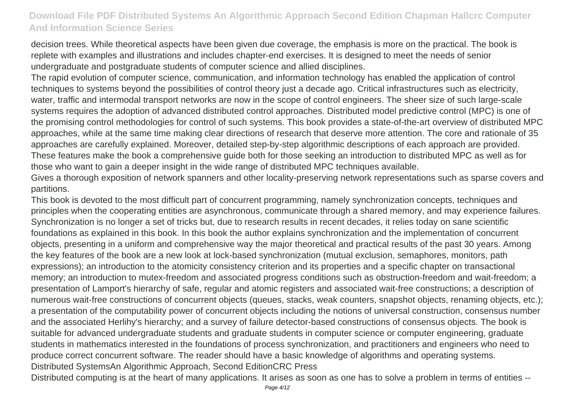decision trees. While theoretical aspects have been given due coverage, the emphasis is more on the practical. The book is replete with examples and illustrations and includes chapter-end exercises. It is designed to meet the needs of senior undergraduate and postgraduate students of computer science and allied disciplines.

The rapid evolution of computer science, communication, and information technology has enabled the application of control techniques to systems beyond the possibilities of control theory just a decade ago. Critical infrastructures such as electricity, water, traffic and intermodal transport networks are now in the scope of control engineers. The sheer size of such large-scale systems requires the adoption of advanced distributed control approaches. Distributed model predictive control (MPC) is one of the promising control methodologies for control of such systems. This book provides a state-of-the-art overview of distributed MPC approaches, while at the same time making clear directions of research that deserve more attention. The core and rationale of 35 approaches are carefully explained. Moreover, detailed step-by-step algorithmic descriptions of each approach are provided. These features make the book a comprehensive guide both for those seeking an introduction to distributed MPC as well as for those who want to gain a deeper insight in the wide range of distributed MPC techniques available.

Gives a thorough exposition of network spanners and other locality-preserving network representations such as sparse covers and partitions.

This book is devoted to the most difficult part of concurrent programming, namely synchronization concepts, techniques and principles when the cooperating entities are asynchronous, communicate through a shared memory, and may experience failures. Synchronization is no longer a set of tricks but, due to research results in recent decades, it relies today on sane scientific foundations as explained in this book. In this book the author explains synchronization and the implementation of concurrent objects, presenting in a uniform and comprehensive way the major theoretical and practical results of the past 30 years. Among the key features of the book are a new look at lock-based synchronization (mutual exclusion, semaphores, monitors, path expressions); an introduction to the atomicity consistency criterion and its properties and a specific chapter on transactional memory; an introduction to mutex-freedom and associated progress conditions such as obstruction-freedom and wait-freedom; a presentation of Lamport's hierarchy of safe, regular and atomic registers and associated wait-free constructions; a description of numerous wait-free constructions of concurrent objects (queues, stacks, weak counters, snapshot objects, renaming objects, etc.); a presentation of the computability power of concurrent objects including the notions of universal construction, consensus number and the associated Herlihy's hierarchy; and a survey of failure detector-based constructions of consensus objects. The book is suitable for advanced undergraduate students and graduate students in computer science or computer engineering, graduate students in mathematics interested in the foundations of process synchronization, and practitioners and engineers who need to produce correct concurrent software. The reader should have a basic knowledge of algorithms and operating systems. Distributed SystemsAn Algorithmic Approach, Second EditionCRC Press

Distributed computing is at the heart of many applications. It arises as soon as one has to solve a problem in terms of entities --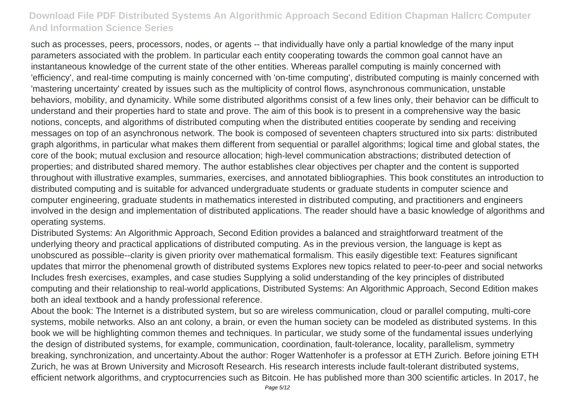such as processes, peers, processors, nodes, or agents -- that individually have only a partial knowledge of the many input parameters associated with the problem. In particular each entity cooperating towards the common goal cannot have an instantaneous knowledge of the current state of the other entities. Whereas parallel computing is mainly concerned with 'efficiency', and real-time computing is mainly concerned with 'on-time computing', distributed computing is mainly concerned with 'mastering uncertainty' created by issues such as the multiplicity of control flows, asynchronous communication, unstable behaviors, mobility, and dynamicity. While some distributed algorithms consist of a few lines only, their behavior can be difficult to understand and their properties hard to state and prove. The aim of this book is to present in a comprehensive way the basic notions, concepts, and algorithms of distributed computing when the distributed entities cooperate by sending and receiving messages on top of an asynchronous network. The book is composed of seventeen chapters structured into six parts: distributed graph algorithms, in particular what makes them different from sequential or parallel algorithms; logical time and global states, the core of the book; mutual exclusion and resource allocation; high-level communication abstractions; distributed detection of properties; and distributed shared memory. The author establishes clear objectives per chapter and the content is supported throughout with illustrative examples, summaries, exercises, and annotated bibliographies. This book constitutes an introduction to distributed computing and is suitable for advanced undergraduate students or graduate students in computer science and computer engineering, graduate students in mathematics interested in distributed computing, and practitioners and engineers involved in the design and implementation of distributed applications. The reader should have a basic knowledge of algorithms and operating systems.

Distributed Systems: An Algorithmic Approach, Second Edition provides a balanced and straightforward treatment of the underlying theory and practical applications of distributed computing. As in the previous version, the language is kept as unobscured as possible--clarity is given priority over mathematical formalism. This easily digestible text: Features significant updates that mirror the phenomenal growth of distributed systems Explores new topics related to peer-to-peer and social networks Includes fresh exercises, examples, and case studies Supplying a solid understanding of the key principles of distributed computing and their relationship to real-world applications, Distributed Systems: An Algorithmic Approach, Second Edition makes both an ideal textbook and a handy professional reference.

About the book: The Internet is a distributed system, but so are wireless communication, cloud or parallel computing, multi-core systems, mobile networks. Also an ant colony, a brain, or even the human society can be modeled as distributed systems. In this book we will be highlighting common themes and techniques. In particular, we study some of the fundamental issues underlying the design of distributed systems, for example, communication, coordination, fault-tolerance, locality, parallelism, symmetry breaking, synchronization, and uncertainty.About the author: Roger Wattenhofer is a professor at ETH Zurich. Before joining ETH Zurich, he was at Brown University and Microsoft Research. His research interests include fault-tolerant distributed systems, efficient network algorithms, and cryptocurrencies such as Bitcoin. He has published more than 300 scientific articles. In 2017, he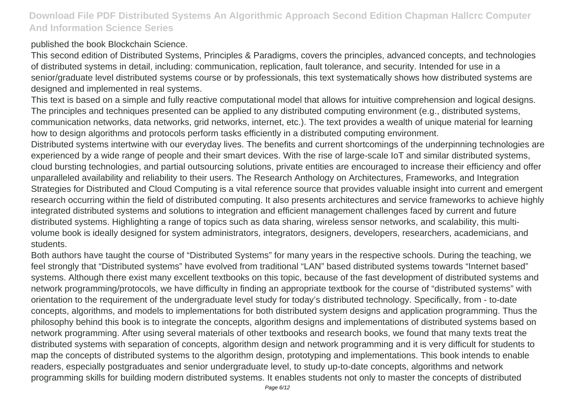#### published the book Blockchain Science.

This second edition of Distributed Systems, Principles & Paradigms, covers the principles, advanced concepts, and technologies of distributed systems in detail, including: communication, replication, fault tolerance, and security. Intended for use in a senior/graduate level distributed systems course or by professionals, this text systematically shows how distributed systems are designed and implemented in real systems.

This text is based on a simple and fully reactive computational model that allows for intuitive comprehension and logical designs. The principles and techniques presented can be applied to any distributed computing environment (e.g., distributed systems, communication networks, data networks, grid networks, internet, etc.). The text provides a wealth of unique material for learning how to design algorithms and protocols perform tasks efficiently in a distributed computing environment.

Distributed systems intertwine with our everyday lives. The benefits and current shortcomings of the underpinning technologies are experienced by a wide range of people and their smart devices. With the rise of large-scale IoT and similar distributed systems, cloud bursting technologies, and partial outsourcing solutions, private entities are encouraged to increase their efficiency and offer unparalleled availability and reliability to their users. The Research Anthology on Architectures, Frameworks, and Integration Strategies for Distributed and Cloud Computing is a vital reference source that provides valuable insight into current and emergent research occurring within the field of distributed computing. It also presents architectures and service frameworks to achieve highly integrated distributed systems and solutions to integration and efficient management challenges faced by current and future distributed systems. Highlighting a range of topics such as data sharing, wireless sensor networks, and scalability, this multivolume book is ideally designed for system administrators, integrators, designers, developers, researchers, academicians, and students.

Both authors have taught the course of "Distributed Systems" for many years in the respective schools. During the teaching, we feel strongly that "Distributed systems" have evolved from traditional "LAN" based distributed systems towards "Internet based" systems. Although there exist many excellent textbooks on this topic, because of the fast development of distributed systems and network programming/protocols, we have difficulty in finding an appropriate textbook for the course of "distributed systems" with orientation to the requirement of the undergraduate level study for today's distributed technology. Specifically, from - to-date concepts, algorithms, and models to implementations for both distributed system designs and application programming. Thus the philosophy behind this book is to integrate the concepts, algorithm designs and implementations of distributed systems based on network programming. After using several materials of other textbooks and research books, we found that many texts treat the distributed systems with separation of concepts, algorithm design and network programming and it is very difficult for students to map the concepts of distributed systems to the algorithm design, prototyping and implementations. This book intends to enable readers, especially postgraduates and senior undergraduate level, to study up-to-date concepts, algorithms and network programming skills for building modern distributed systems. It enables students not only to master the concepts of distributed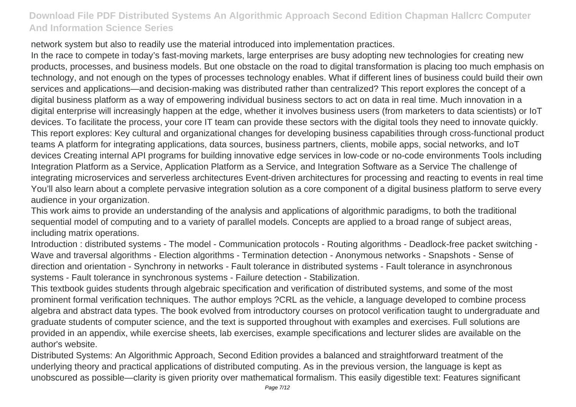network system but also to readily use the material introduced into implementation practices.

In the race to compete in today's fast-moving markets, large enterprises are busy adopting new technologies for creating new products, processes, and business models. But one obstacle on the road to digital transformation is placing too much emphasis on technology, and not enough on the types of processes technology enables. What if different lines of business could build their own services and applications—and decision-making was distributed rather than centralized? This report explores the concept of a digital business platform as a way of empowering individual business sectors to act on data in real time. Much innovation in a digital enterprise will increasingly happen at the edge, whether it involves business users (from marketers to data scientists) or IoT devices. To facilitate the process, your core IT team can provide these sectors with the digital tools they need to innovate quickly. This report explores: Key cultural and organizational changes for developing business capabilities through cross-functional product teams A platform for integrating applications, data sources, business partners, clients, mobile apps, social networks, and IoT devices Creating internal API programs for building innovative edge services in low-code or no-code environments Tools including Integration Platform as a Service, Application Platform as a Service, and Integration Software as a Service The challenge of integrating microservices and serverless architectures Event-driven architectures for processing and reacting to events in real time You'll also learn about a complete pervasive integration solution as a core component of a digital business platform to serve every audience in your organization.

This work aims to provide an understanding of the analysis and applications of algorithmic paradigms, to both the traditional sequential model of computing and to a variety of parallel models. Concepts are applied to a broad range of subject areas, including matrix operations.

Introduction : distributed systems - The model - Communication protocols - Routing algorithms - Deadlock-free packet switching - Wave and traversal algorithms - Election algorithms - Termination detection - Anonymous networks - Snapshots - Sense of direction and orientation - Synchrony in networks - Fault tolerance in distributed systems - Fault tolerance in asynchronous systems - Fault tolerance in synchronous systems - Failure detection - Stabilization.

This textbook guides students through algebraic specification and verification of distributed systems, and some of the most prominent formal verification techniques. The author employs ?CRL as the vehicle, a language developed to combine process algebra and abstract data types. The book evolved from introductory courses on protocol verification taught to undergraduate and graduate students of computer science, and the text is supported throughout with examples and exercises. Full solutions are provided in an appendix, while exercise sheets, lab exercises, example specifications and lecturer slides are available on the author's website.

Distributed Systems: An Algorithmic Approach, Second Edition provides a balanced and straightforward treatment of the underlying theory and practical applications of distributed computing. As in the previous version, the language is kept as unobscured as possible—clarity is given priority over mathematical formalism. This easily digestible text: Features significant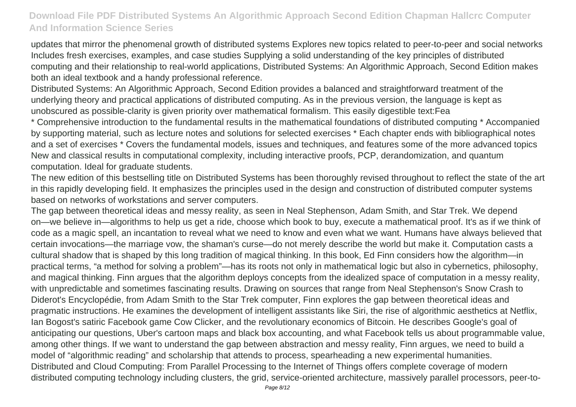updates that mirror the phenomenal growth of distributed systems Explores new topics related to peer-to-peer and social networks Includes fresh exercises, examples, and case studies Supplying a solid understanding of the key principles of distributed computing and their relationship to real-world applications, Distributed Systems: An Algorithmic Approach, Second Edition makes both an ideal textbook and a handy professional reference.

Distributed Systems: An Algorithmic Approach, Second Edition provides a balanced and straightforward treatment of the underlying theory and practical applications of distributed computing. As in the previous version, the language is kept as unobscured as possible-clarity is given priority over mathematical formalism. This easily digestible text:Fea

\* Comprehensive introduction to the fundamental results in the mathematical foundations of distributed computing \* Accompanied by supporting material, such as lecture notes and solutions for selected exercises \* Each chapter ends with bibliographical notes and a set of exercises \* Covers the fundamental models, issues and techniques, and features some of the more advanced topics New and classical results in computational complexity, including interactive proofs, PCP, derandomization, and quantum computation. Ideal for graduate students.

The new edition of this bestselling title on Distributed Systems has been thoroughly revised throughout to reflect the state of the art in this rapidly developing field. It emphasizes the principles used in the design and construction of distributed computer systems based on networks of workstations and server computers.

The gap between theoretical ideas and messy reality, as seen in Neal Stephenson, Adam Smith, and Star Trek. We depend on—we believe in—algorithms to help us get a ride, choose which book to buy, execute a mathematical proof. It's as if we think of code as a magic spell, an incantation to reveal what we need to know and even what we want. Humans have always believed that certain invocations—the marriage vow, the shaman's curse—do not merely describe the world but make it. Computation casts a cultural shadow that is shaped by this long tradition of magical thinking. In this book, Ed Finn considers how the algorithm—in practical terms, "a method for solving a problem"—has its roots not only in mathematical logic but also in cybernetics, philosophy, and magical thinking. Finn argues that the algorithm deploys concepts from the idealized space of computation in a messy reality, with unpredictable and sometimes fascinating results. Drawing on sources that range from Neal Stephenson's Snow Crash to Diderot's Encyclopédie, from Adam Smith to the Star Trek computer, Finn explores the gap between theoretical ideas and pragmatic instructions. He examines the development of intelligent assistants like Siri, the rise of algorithmic aesthetics at Netflix, Ian Bogost's satiric Facebook game Cow Clicker, and the revolutionary economics of Bitcoin. He describes Google's goal of anticipating our questions, Uber's cartoon maps and black box accounting, and what Facebook tells us about programmable value, among other things. If we want to understand the gap between abstraction and messy reality, Finn argues, we need to build a model of "algorithmic reading" and scholarship that attends to process, spearheading a new experimental humanities. Distributed and Cloud Computing: From Parallel Processing to the Internet of Things offers complete coverage of modern distributed computing technology including clusters, the grid, service-oriented architecture, massively parallel processors, peer-to-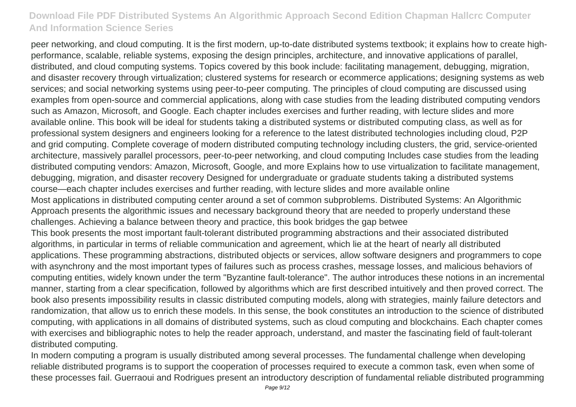peer networking, and cloud computing. It is the first modern, up-to-date distributed systems textbook; it explains how to create highperformance, scalable, reliable systems, exposing the design principles, architecture, and innovative applications of parallel, distributed, and cloud computing systems. Topics covered by this book include: facilitating management, debugging, migration, and disaster recovery through virtualization; clustered systems for research or ecommerce applications; designing systems as web services; and social networking systems using peer-to-peer computing. The principles of cloud computing are discussed using examples from open-source and commercial applications, along with case studies from the leading distributed computing vendors such as Amazon, Microsoft, and Google. Each chapter includes exercises and further reading, with lecture slides and more available online. This book will be ideal for students taking a distributed systems or distributed computing class, as well as for professional system designers and engineers looking for a reference to the latest distributed technologies including cloud, P2P and grid computing. Complete coverage of modern distributed computing technology including clusters, the grid, service-oriented architecture, massively parallel processors, peer-to-peer networking, and cloud computing Includes case studies from the leading distributed computing vendors: Amazon, Microsoft, Google, and more Explains how to use virtualization to facilitate management, debugging, migration, and disaster recovery Designed for undergraduate or graduate students taking a distributed systems course—each chapter includes exercises and further reading, with lecture slides and more available online Most applications in distributed computing center around a set of common subproblems. Distributed Systems: An Algorithmic Approach presents the algorithmic issues and necessary background theory that are needed to properly understand these challenges. Achieving a balance between theory and practice, this book bridges the gap betwee This book presents the most important fault-tolerant distributed programming abstractions and their associated distributed algorithms, in particular in terms of reliable communication and agreement, which lie at the heart of nearly all distributed applications. These programming abstractions, distributed objects or services, allow software designers and programmers to cope with asynchrony and the most important types of failures such as process crashes, message losses, and malicious behaviors of computing entities, widely known under the term "Byzantine fault-tolerance". The author introduces these notions in an incremental manner, starting from a clear specification, followed by algorithms which are first described intuitively and then proved correct. The book also presents impossibility results in classic distributed computing models, along with strategies, mainly failure detectors and randomization, that allow us to enrich these models. In this sense, the book constitutes an introduction to the science of distributed computing, with applications in all domains of distributed systems, such as cloud computing and blockchains. Each chapter comes with exercises and bibliographic notes to help the reader approach, understand, and master the fascinating field of fault-tolerant distributed computing.

In modern computing a program is usually distributed among several processes. The fundamental challenge when developing reliable distributed programs is to support the cooperation of processes required to execute a common task, even when some of these processes fail. Guerraoui and Rodrigues present an introductory description of fundamental reliable distributed programming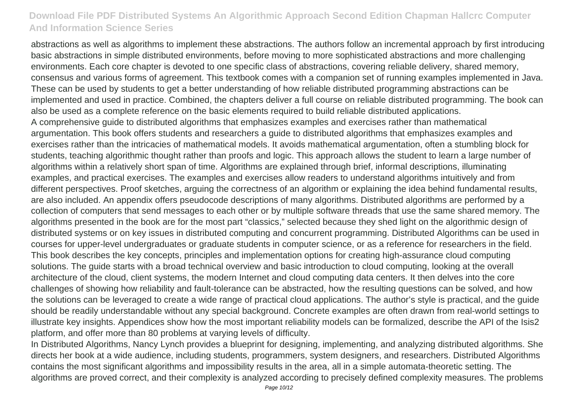abstractions as well as algorithms to implement these abstractions. The authors follow an incremental approach by first introducing basic abstractions in simple distributed environments, before moving to more sophisticated abstractions and more challenging environments. Each core chapter is devoted to one specific class of abstractions, covering reliable delivery, shared memory, consensus and various forms of agreement. This textbook comes with a companion set of running examples implemented in Java. These can be used by students to get a better understanding of how reliable distributed programming abstractions can be implemented and used in practice. Combined, the chapters deliver a full course on reliable distributed programming. The book can also be used as a complete reference on the basic elements required to build reliable distributed applications. A comprehensive guide to distributed algorithms that emphasizes examples and exercises rather than mathematical argumentation. This book offers students and researchers a guide to distributed algorithms that emphasizes examples and exercises rather than the intricacies of mathematical models. It avoids mathematical argumentation, often a stumbling block for students, teaching algorithmic thought rather than proofs and logic. This approach allows the student to learn a large number of algorithms within a relatively short span of time. Algorithms are explained through brief, informal descriptions, illuminating examples, and practical exercises. The examples and exercises allow readers to understand algorithms intuitively and from different perspectives. Proof sketches, arguing the correctness of an algorithm or explaining the idea behind fundamental results, are also included. An appendix offers pseudocode descriptions of many algorithms. Distributed algorithms are performed by a collection of computers that send messages to each other or by multiple software threads that use the same shared memory. The algorithms presented in the book are for the most part "classics," selected because they shed light on the algorithmic design of distributed systems or on key issues in distributed computing and concurrent programming. Distributed Algorithms can be used in courses for upper-level undergraduates or graduate students in computer science, or as a reference for researchers in the field. This book describes the key concepts, principles and implementation options for creating high-assurance cloud computing solutions. The guide starts with a broad technical overview and basic introduction to cloud computing, looking at the overall architecture of the cloud, client systems, the modern Internet and cloud computing data centers. It then delves into the core challenges of showing how reliability and fault-tolerance can be abstracted, how the resulting questions can be solved, and how the solutions can be leveraged to create a wide range of practical cloud applications. The author's style is practical, and the guide should be readily understandable without any special background. Concrete examples are often drawn from real-world settings to illustrate key insights. Appendices show how the most important reliability models can be formalized, describe the API of the Isis2 platform, and offer more than 80 problems at varying levels of difficulty.

In Distributed Algorithms, Nancy Lynch provides a blueprint for designing, implementing, and analyzing distributed algorithms. She directs her book at a wide audience, including students, programmers, system designers, and researchers. Distributed Algorithms contains the most significant algorithms and impossibility results in the area, all in a simple automata-theoretic setting. The algorithms are proved correct, and their complexity is analyzed according to precisely defined complexity measures. The problems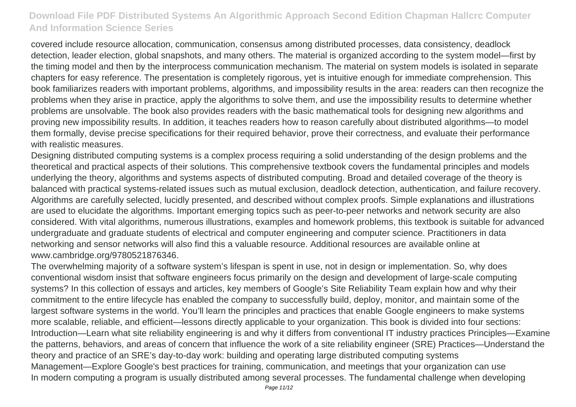covered include resource allocation, communication, consensus among distributed processes, data consistency, deadlock detection, leader election, global snapshots, and many others. The material is organized according to the system model—first by the timing model and then by the interprocess communication mechanism. The material on system models is isolated in separate chapters for easy reference. The presentation is completely rigorous, yet is intuitive enough for immediate comprehension. This book familiarizes readers with important problems, algorithms, and impossibility results in the area: readers can then recognize the problems when they arise in practice, apply the algorithms to solve them, and use the impossibility results to determine whether problems are unsolvable. The book also provides readers with the basic mathematical tools for designing new algorithms and proving new impossibility results. In addition, it teaches readers how to reason carefully about distributed algorithms—to model them formally, devise precise specifications for their required behavior, prove their correctness, and evaluate their performance with realistic measures.

Designing distributed computing systems is a complex process requiring a solid understanding of the design problems and the theoretical and practical aspects of their solutions. This comprehensive textbook covers the fundamental principles and models underlying the theory, algorithms and systems aspects of distributed computing. Broad and detailed coverage of the theory is balanced with practical systems-related issues such as mutual exclusion, deadlock detection, authentication, and failure recovery. Algorithms are carefully selected, lucidly presented, and described without complex proofs. Simple explanations and illustrations are used to elucidate the algorithms. Important emerging topics such as peer-to-peer networks and network security are also considered. With vital algorithms, numerous illustrations, examples and homework problems, this textbook is suitable for advanced undergraduate and graduate students of electrical and computer engineering and computer science. Practitioners in data networking and sensor networks will also find this a valuable resource. Additional resources are available online at www.cambridge.org/9780521876346.

The overwhelming majority of a software system's lifespan is spent in use, not in design or implementation. So, why does conventional wisdom insist that software engineers focus primarily on the design and development of large-scale computing systems? In this collection of essays and articles, key members of Google's Site Reliability Team explain how and why their commitment to the entire lifecycle has enabled the company to successfully build, deploy, monitor, and maintain some of the largest software systems in the world. You'll learn the principles and practices that enable Google engineers to make systems more scalable, reliable, and efficient—lessons directly applicable to your organization. This book is divided into four sections: Introduction—Learn what site reliability engineering is and why it differs from conventional IT industry practices Principles—Examine the patterns, behaviors, and areas of concern that influence the work of a site reliability engineer (SRE) Practices—Understand the theory and practice of an SRE's day-to-day work: building and operating large distributed computing systems Management—Explore Google's best practices for training, communication, and meetings that your organization can use In modern computing a program is usually distributed among several processes. The fundamental challenge when developing